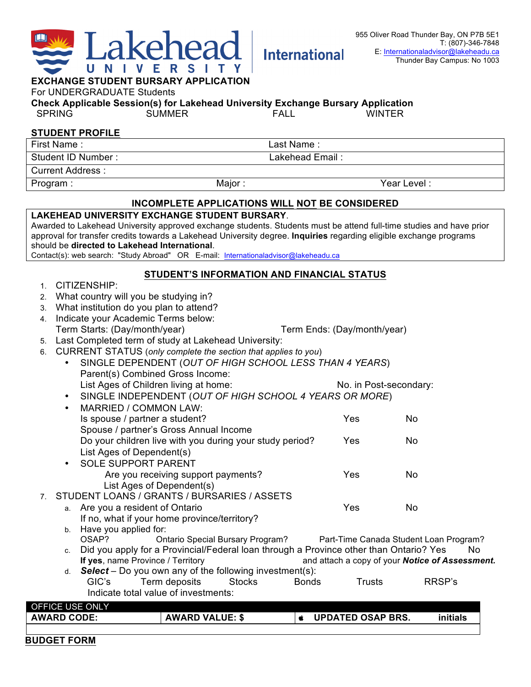

| MOL STUDENT DURVANT AFFEIVATION<br>For UNDERGRADUATE Students                                                                        |                                                                                                                                                        |                                                          |                                                |               |              |                             |        |  |  |
|--------------------------------------------------------------------------------------------------------------------------------------|--------------------------------------------------------------------------------------------------------------------------------------------------------|----------------------------------------------------------|------------------------------------------------|---------------|--------------|-----------------------------|--------|--|--|
| Check Applicable Session(s) for Lakehead University Exchange Bursary Application                                                     |                                                                                                                                                        |                                                          |                                                |               |              |                             |        |  |  |
| <b>SPRING</b><br><b>SUMMER</b><br><b>FALL</b><br><b>WINTER</b>                                                                       |                                                                                                                                                        |                                                          |                                                |               |              |                             |        |  |  |
|                                                                                                                                      |                                                                                                                                                        | <b>STUDENT PROFILE</b>                                   |                                                |               |              |                             |        |  |  |
| First Name:                                                                                                                          |                                                                                                                                                        |                                                          |                                                |               | Last Name:   |                             |        |  |  |
| Student ID Number:<br>Lakehead Email:                                                                                                |                                                                                                                                                        |                                                          |                                                |               |              |                             |        |  |  |
|                                                                                                                                      | <b>Current Address:</b>                                                                                                                                |                                                          |                                                |               |              |                             |        |  |  |
| Program:                                                                                                                             |                                                                                                                                                        |                                                          | Major:                                         |               |              | Year Level:                 |        |  |  |
|                                                                                                                                      |                                                                                                                                                        |                                                          | INCOMPLETE APPLICATIONS WILL NOT BE CONSIDERED |               |              |                             |        |  |  |
|                                                                                                                                      |                                                                                                                                                        | <b>LAKEHEAD UNIVERSITY EXCHANGE STUDENT BURSARY.</b>     |                                                |               |              |                             |        |  |  |
| Awarded to Lakehead University approved exchange students. Students must be attend full-time studies and have prior                  |                                                                                                                                                        |                                                          |                                                |               |              |                             |        |  |  |
| approval for transfer credits towards a Lakehead University degree. Inquiries regarding eligible exchange programs                   |                                                                                                                                                        |                                                          |                                                |               |              |                             |        |  |  |
| should be directed to Lakehead International.<br>Contact(s): web search: "Study Abroad" OR E-mail: Internationaladvisor@lakeheadu.ca |                                                                                                                                                        |                                                          |                                                |               |              |                             |        |  |  |
|                                                                                                                                      |                                                                                                                                                        |                                                          |                                                |               |              |                             |        |  |  |
| 1.                                                                                                                                   | CITIZENSHIP:                                                                                                                                           |                                                          | STUDENT'S INFORMATION AND FINANCIAL STATUS     |               |              |                             |        |  |  |
| 2.                                                                                                                                   |                                                                                                                                                        | What country will you be studying in?                    |                                                |               |              |                             |        |  |  |
| 3.                                                                                                                                   |                                                                                                                                                        | What institution do you plan to attend?                  |                                                |               |              |                             |        |  |  |
| 4.                                                                                                                                   |                                                                                                                                                        | Indicate your Academic Terms below:                      |                                                |               |              |                             |        |  |  |
|                                                                                                                                      |                                                                                                                                                        | Term Starts: (Day/month/year)                            |                                                |               |              | Term Ends: (Day/month/year) |        |  |  |
| 5.                                                                                                                                   |                                                                                                                                                        | Last Completed term of study at Lakehead University:     |                                                |               |              |                             |        |  |  |
| 6.                                                                                                                                   | CURRENT STATUS (only complete the section that applies to you)                                                                                         |                                                          |                                                |               |              |                             |        |  |  |
|                                                                                                                                      |                                                                                                                                                        | SINGLE DEPENDENT (OUT OF HIGH SCHOOL LESS THAN 4 YEARS)  |                                                |               |              |                             |        |  |  |
|                                                                                                                                      |                                                                                                                                                        | Parent(s) Combined Gross Income:                         |                                                |               |              |                             |        |  |  |
|                                                                                                                                      |                                                                                                                                                        | List Ages of Children living at home:                    |                                                |               |              | No. in Post-secondary:      |        |  |  |
|                                                                                                                                      |                                                                                                                                                        | SINGLE INDEPENDENT (OUT OF HIGH SCHOOL 4 YEARS OR MORE)  |                                                |               |              |                             |        |  |  |
|                                                                                                                                      |                                                                                                                                                        | MARRIED / COMMON LAW:                                    |                                                |               |              |                             |        |  |  |
|                                                                                                                                      |                                                                                                                                                        | Is spouse / partner a student?                           |                                                |               |              | Yes                         | No     |  |  |
|                                                                                                                                      |                                                                                                                                                        | Spouse / partner's Gross Annual Income                   |                                                |               |              |                             |        |  |  |
|                                                                                                                                      |                                                                                                                                                        | Do your children live with you during your study period? |                                                |               |              | Yes                         | No     |  |  |
|                                                                                                                                      |                                                                                                                                                        | List Ages of Dependent(s)<br><b>SOLE SUPPORT PARENT</b>  |                                                |               |              |                             |        |  |  |
|                                                                                                                                      |                                                                                                                                                        |                                                          | Are you receiving support payments?            |               |              | Yes                         | No     |  |  |
|                                                                                                                                      |                                                                                                                                                        | List Ages of Dependent(s)                                |                                                |               |              |                             |        |  |  |
|                                                                                                                                      |                                                                                                                                                        | 7. STUDENT LOANS / GRANTS / BURSARIES / ASSETS           |                                                |               |              |                             |        |  |  |
|                                                                                                                                      |                                                                                                                                                        | a. Are you a resident of Ontario                         |                                                |               |              | Yes                         | No     |  |  |
|                                                                                                                                      |                                                                                                                                                        | If no, what if your home province/territory?             |                                                |               |              |                             |        |  |  |
|                                                                                                                                      | b.                                                                                                                                                     | Have you applied for:                                    |                                                |               |              |                             |        |  |  |
|                                                                                                                                      | OSAP?<br>Ontario Special Bursary Program?<br>Part-Time Canada Student Loan Program?                                                                    |                                                          |                                                |               |              |                             |        |  |  |
|                                                                                                                                      | Did you apply for a Provincial/Federal loan through a Province other than Ontario? Yes<br>No.<br>C.                                                    |                                                          |                                                |               |              |                             |        |  |  |
|                                                                                                                                      | If yes, name Province / Territory<br>and attach a copy of your Notice of Assessment.<br><b>Select</b> – Do you own any of the following investment(s): |                                                          |                                                |               |              |                             |        |  |  |
|                                                                                                                                      | d.                                                                                                                                                     | GIC's                                                    | Term deposits                                  | <b>Stocks</b> | <b>Bonds</b> | <b>Trusts</b>               | RRSP's |  |  |
|                                                                                                                                      |                                                                                                                                                        | Indicate total value of investments:                     |                                                |               |              |                             |        |  |  |
|                                                                                                                                      |                                                                                                                                                        |                                                          |                                                |               |              |                             |        |  |  |
| OFFICE USE ONLY<br><b>AWARD CODE:</b><br><b>AWARD VALUE: \$</b><br><b>UPDATED OSAP BRS.</b><br>initials<br>É                         |                                                                                                                                                        |                                                          |                                                |               |              |                             |        |  |  |
|                                                                                                                                      |                                                                                                                                                        |                                                          |                                                |               |              |                             |        |  |  |

**International**